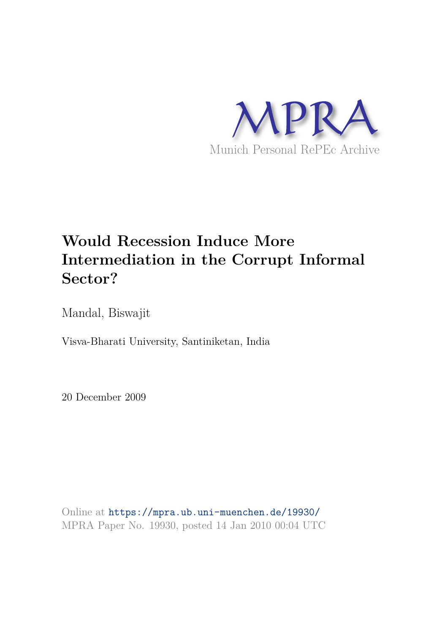

# **Would Recession Induce More Intermediation in the Corrupt Informal Sector?**

Mandal, Biswajit

Visva-Bharati University, Santiniketan, India

20 December 2009

Online at https://mpra.ub.uni-muenchen.de/19930/ MPRA Paper No. 19930, posted 14 Jan 2010 00:04 UTC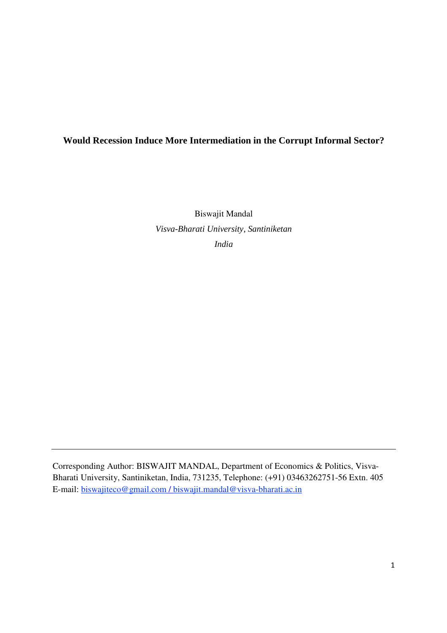# **Would Recession Induce More Intermediation in the Corrupt Informal Sector?**

Biswajit Mandal *Visva-Bharati University, Santiniketan India* 

Corresponding Author: BISWAJIT MANDAL, Department of Economics & Politics, Visva-Bharati University, Santiniketan, India, 731235, Telephone: (+91) 03463262751-56 Extn. 405 E-mail: biswajiteco@gmail.com / biswajit.mandal@visva-bharati.ac.in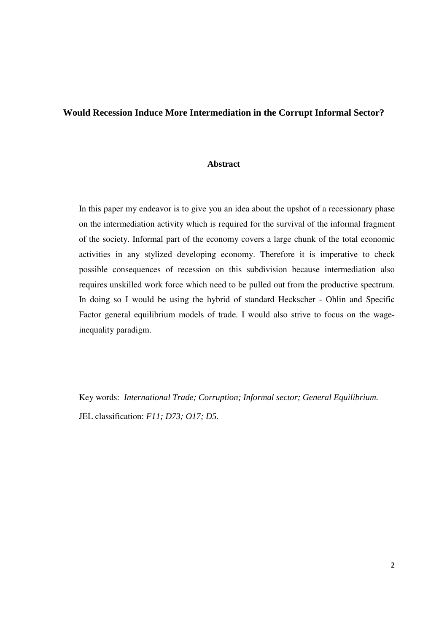#### **Would Recession Induce More Intermediation in the Corrupt Informal Sector?**

### **Abstract**

In this paper my endeavor is to give you an idea about the upshot of a recessionary phase on the intermediation activity which is required for the survival of the informal fragment of the society. Informal part of the economy covers a large chunk of the total economic activities in any stylized developing economy. Therefore it is imperative to check possible consequences of recession on this subdivision because intermediation also requires unskilled work force which need to be pulled out from the productive spectrum. In doing so I would be using the hybrid of standard Heckscher - Ohlin and Specific Factor general equilibrium models of trade. I would also strive to focus on the wageinequality paradigm.

Key words: *International Trade; Corruption; Informal sector; General Equilibrium.* JEL classification: *F11; D73; O17; D5.*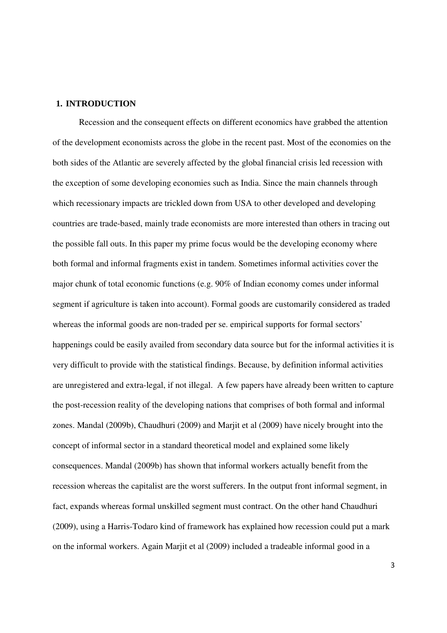#### **1. INTRODUCTION**

Recession and the consequent effects on different economics have grabbed the attention of the development economists across the globe in the recent past. Most of the economies on the both sides of the Atlantic are severely affected by the global financial crisis led recession with the exception of some developing economies such as India. Since the main channels through which recessionary impacts are trickled down from USA to other developed and developing countries are trade-based, mainly trade economists are more interested than others in tracing out the possible fall outs. In this paper my prime focus would be the developing economy where both formal and informal fragments exist in tandem. Sometimes informal activities cover the major chunk of total economic functions (e.g. 90% of Indian economy comes under informal segment if agriculture is taken into account). Formal goods are customarily considered as traded whereas the informal goods are non-traded per se. empirical supports for formal sectors' happenings could be easily availed from secondary data source but for the informal activities it is very difficult to provide with the statistical findings. Because, by definition informal activities are unregistered and extra-legal, if not illegal. A few papers have already been written to capture the post-recession reality of the developing nations that comprises of both formal and informal zones. Mandal (2009b), Chaudhuri (2009) and Marjit et al (2009) have nicely brought into the concept of informal sector in a standard theoretical model and explained some likely consequences. Mandal (2009b) has shown that informal workers actually benefit from the recession whereas the capitalist are the worst sufferers. In the output front informal segment, in fact, expands whereas formal unskilled segment must contract. On the other hand Chaudhuri (2009), using a Harris-Todaro kind of framework has explained how recession could put a mark on the informal workers. Again Marjit et al (2009) included a tradeable informal good in a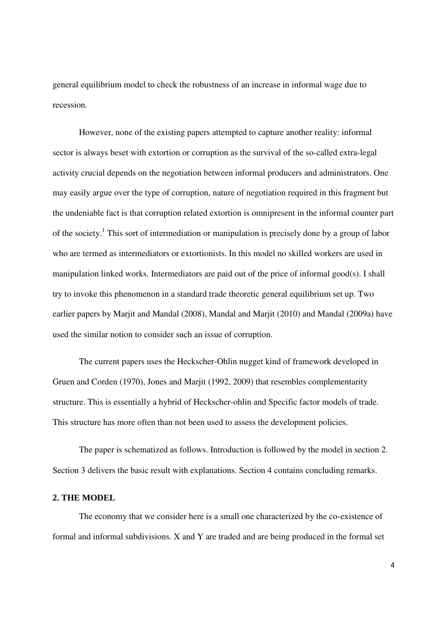general equilibrium model to check the robustness of an increase in informal wage due to recession.

However, none of the existing papers attempted to capture another reality: informal sector is always beset with extortion or corruption as the survival of the so-called extra-legal activity crucial depends on the negotiation between informal producers and administrators. One may easily argue over the type of corruption, nature of negotiation required in this fragment but the undeniable fact is that corruption related extortion is omnipresent in the informal counter part of the society.<sup>1</sup> This sort of intermediation or manipulation is precisely done by a group of labor who are termed as intermediators or extortionists. In this model no skilled workers are used in manipulation linked works. Intermediators are paid out of the price of informal good(s). I shall try to invoke this phenomenon in a standard trade theoretic general equilibrium set up. Two earlier papers by Marjit and Mandal (2008), Mandal and Marjit (2010) and Mandal (2009a) have used the similar notion to consider such an issue of corruption.

The current papers uses the Heckscher-Ohlin nugget kind of framework developed in Gruen and Corden (1970), Jones and Marjit (1992, 2009) that resembles complementarity structure. This is essentially a hybrid of Heckscher-ohlin and Specific factor models of trade. This structure has more often than not been used to assess the development policies.

The paper is schematized as follows. Introduction is followed by the model in section 2. Section 3 delivers the basic result with explanations. Section 4 contains concluding remarks.

#### **2. THE MODEL**

The economy that we consider here is a small one characterized by the co-existence of formal and informal subdivisions. X and Y are traded and are being produced in the formal set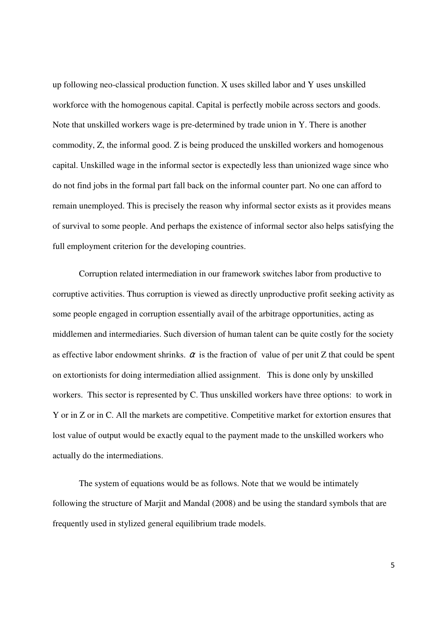up following neo-classical production function. X uses skilled labor and Y uses unskilled workforce with the homogenous capital. Capital is perfectly mobile across sectors and goods. Note that unskilled workers wage is pre-determined by trade union in Y. There is another commodity, Z, the informal good. Z is being produced the unskilled workers and homogenous capital. Unskilled wage in the informal sector is expectedly less than unionized wage since who do not find jobs in the formal part fall back on the informal counter part. No one can afford to remain unemployed. This is precisely the reason why informal sector exists as it provides means of survival to some people. And perhaps the existence of informal sector also helps satisfying the full employment criterion for the developing countries.

Corruption related intermediation in our framework switches labor from productive to corruptive activities. Thus corruption is viewed as directly unproductive profit seeking activity as some people engaged in corruption essentially avail of the arbitrage opportunities, acting as middlemen and intermediaries. Such diversion of human talent can be quite costly for the society as effective labor endowment shrinks.  $\alpha$  is the fraction of value of per unit Z that could be spent on extortionists for doing intermediation allied assignment. This is done only by unskilled workers. This sector is represented by C. Thus unskilled workers have three options: to work in Y or in Z or in C. All the markets are competitive. Competitive market for extortion ensures that lost value of output would be exactly equal to the payment made to the unskilled workers who actually do the intermediations.

The system of equations would be as follows. Note that we would be intimately following the structure of Marjit and Mandal (2008) and be using the standard symbols that are frequently used in stylized general equilibrium trade models.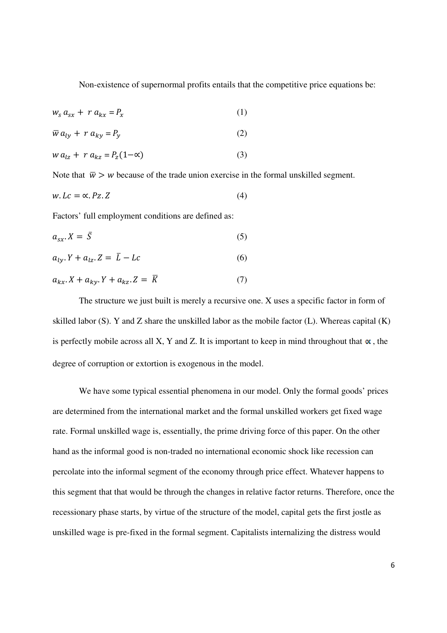Non-existence of supernormal profits entails that the competitive price equations be:

$$
w_s a_{sx} + r a_{kx} = P_x \tag{1}
$$

$$
\overline{w} a_{ly} + r a_{ky} = P_y \tag{2}
$$

$$
w a_{lz} + r a_{kz} = P_z(1 - \alpha) \tag{3}
$$

Note that  $\bar{w} > w$  because of the trade union exercise in the formal unskilled segment.

$$
w. Lc = \alpha. Pz. Z \tag{4}
$$

Factors' full employment conditions are defined as:

$$
a_{sx} \cdot X = \bar{S} \tag{5}
$$

$$
a_{ly.}Y + a_{lz.}Z = \bar{L} - Lc
$$
 (6)

$$
a_{kx} \cdot X + a_{ky} \cdot Y + a_{kz} \cdot Z = \overline{K} \tag{7}
$$

The structure we just built is merely a recursive one. X uses a specific factor in form of skilled labor (S). Y and Z share the unskilled labor as the mobile factor (L). Whereas capital (K) is perfectly mobile across all X, Y and Z. It is important to keep in mind throughout that  $\alpha$ , the degree of corruption or extortion is exogenous in the model.

We have some typical essential phenomena in our model. Only the formal goods' prices are determined from the international market and the formal unskilled workers get fixed wage rate. Formal unskilled wage is, essentially, the prime driving force of this paper. On the other hand as the informal good is non-traded no international economic shock like recession can percolate into the informal segment of the economy through price effect. Whatever happens to this segment that that would be through the changes in relative factor returns. Therefore, once the recessionary phase starts, by virtue of the structure of the model, capital gets the first jostle as unskilled wage is pre-fixed in the formal segment. Capitalists internalizing the distress would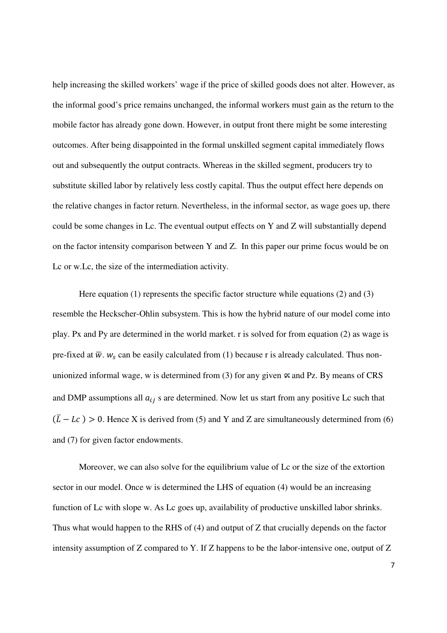help increasing the skilled workers' wage if the price of skilled goods does not alter. However, as the informal good's price remains unchanged, the informal workers must gain as the return to the mobile factor has already gone down. However, in output front there might be some interesting outcomes. After being disappointed in the formal unskilled segment capital immediately flows out and subsequently the output contracts. Whereas in the skilled segment, producers try to substitute skilled labor by relatively less costly capital. Thus the output effect here depends on the relative changes in factor return. Nevertheless, in the informal sector, as wage goes up, there could be some changes in Lc. The eventual output effects on Y and Z will substantially depend on the factor intensity comparison between Y and Z. In this paper our prime focus would be on Lc or w.Lc, the size of the intermediation activity.

Here equation (1) represents the specific factor structure while equations (2) and (3) resemble the Heckscher-Ohlin subsystem. This is how the hybrid nature of our model come into play. Px and Py are determined in the world market. r is solved for from equation (2) as wage is pre-fixed at  $\overline{w}$ .  $w_s$  can be easily calculated from (1) because r is already calculated. Thus nonunionized informal wage, w is determined from (3) for any given  $\alpha$  and Pz. By means of CRS and DMP assumptions all  $a_{ij}$  s are determined. Now let us start from any positive Lc such that  $(\overline{L} - Lc) > 0$ . Hence X is derived from (5) and Y and Z are simultaneously determined from (6) and (7) for given factor endowments.

Moreover, we can also solve for the equilibrium value of Lc or the size of the extortion sector in our model. Once w is determined the LHS of equation (4) would be an increasing function of Lc with slope w. As Lc goes up, availability of productive unskilled labor shrinks. Thus what would happen to the RHS of (4) and output of Z that crucially depends on the factor intensity assumption of Z compared to Y. If Z happens to be the labor-intensive one, output of Z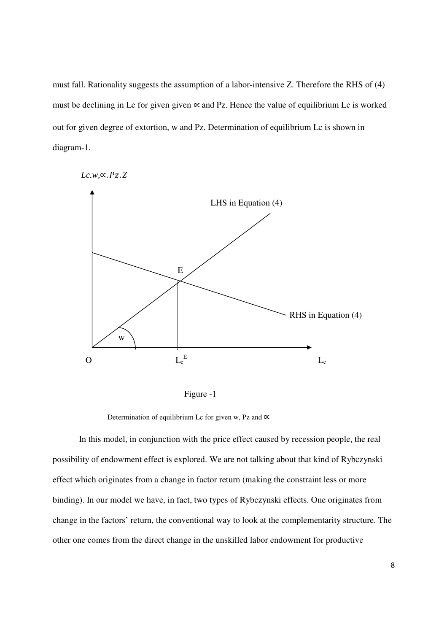must fall. Rationality suggests the assumption of a labor-intensive Z. Therefore the RHS of (4) must be declining in Lc for given given  $\alpha$  and Pz. Hence the value of equilibrium Lc is worked out for given degree of extortion, w and Pz. Determination of equilibrium Lc is shown in diagram-1.





Figure -1

Determination of equilibrium Lc for given w, Pz and  $\alpha$ 

In this model, in conjunction with the price effect caused by recession people, the real possibility of endowment effect is explored. We are not talking about that kind of Rybczynski effect which originates from a change in factor return (making the constraint less or more binding). In our model we have, in fact, two types of Rybczynski effects. One originates from change in the factors' return, the conventional way to look at the complementarity structure. The other one comes from the direct change in the unskilled labor endowment for productive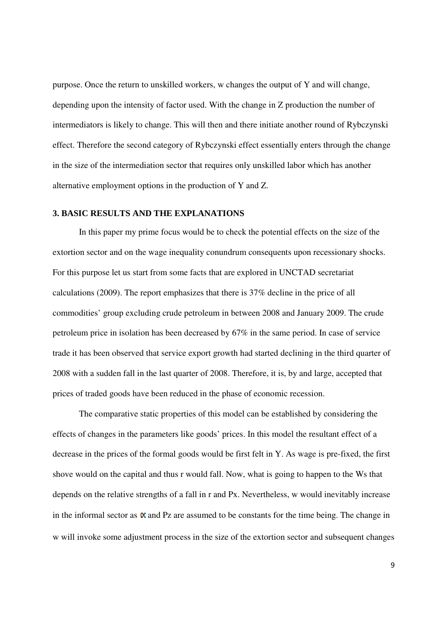purpose. Once the return to unskilled workers, w changes the output of Y and will change, depending upon the intensity of factor used. With the change in Z production the number of intermediators is likely to change. This will then and there initiate another round of Rybczynski effect. Therefore the second category of Rybczynski effect essentially enters through the change in the size of the intermediation sector that requires only unskilled labor which has another alternative employment options in the production of Y and Z.

#### **3. BASIC RESULTS AND THE EXPLANATIONS**

 In this paper my prime focus would be to check the potential effects on the size of the extortion sector and on the wage inequality conundrum consequents upon recessionary shocks. For this purpose let us start from some facts that are explored in UNCTAD secretariat calculations (2009). The report emphasizes that there is 37% decline in the price of all commodities' group excluding crude petroleum in between 2008 and January 2009. The crude petroleum price in isolation has been decreased by 67% in the same period. In case of service trade it has been observed that service export growth had started declining in the third quarter of 2008 with a sudden fall in the last quarter of 2008. Therefore, it is, by and large, accepted that prices of traded goods have been reduced in the phase of economic recession.

The comparative static properties of this model can be established by considering the effects of changes in the parameters like goods' prices. In this model the resultant effect of a decrease in the prices of the formal goods would be first felt in Y. As wage is pre-fixed, the first shove would on the capital and thus r would fall. Now, what is going to happen to the Ws that depends on the relative strengths of a fall in r and Px. Nevertheless, w would inevitably increase in the informal sector as  $\alpha$  and Pz are assumed to be constants for the time being. The change in w will invoke some adjustment process in the size of the extortion sector and subsequent changes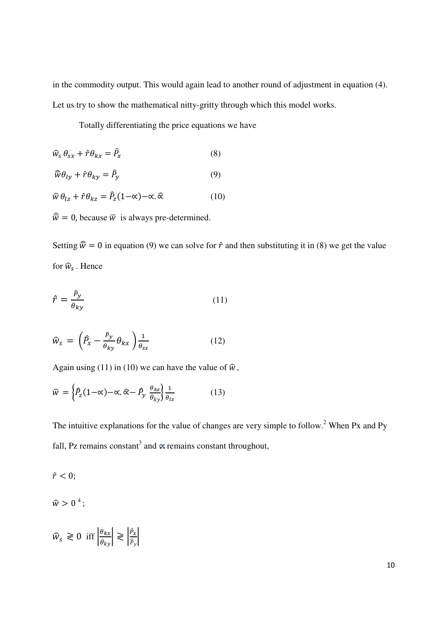in the commodity output. This would again lead to another round of adjustment in equation (4). Let us try to show the mathematical nitty-gritty through which this model works.

Totally differentiating the price equations we have

$$
\widehat{w}_s \,\theta_{sx} + \widehat{r} \,\theta_{kx} = \widehat{P}_x \tag{8}
$$

$$
\widehat{w}\theta_{ly} + \widehat{r}\theta_{ky} = \widehat{P}_y \tag{9}
$$

$$
\widehat{w}\,\theta_{lz} + \widehat{r}\,\theta_{kz} = \widehat{P}_z(1-\alpha) - \alpha.\,\widehat{\alpha} \tag{10}
$$

 $\widehat{\overline{w}} = 0$ , because  $\overline{w}$  is always pre-determined.

Setting  $\hat{\overline{w}} = 0$  in equation (9) we can solve for  $\hat{r}$  and then substituting it in (8) we get the value for  $\widehat{w}_s$ . Hence

$$
\hat{r} = \frac{\hat{P}_y}{\theta_{ky}}\tag{11}
$$

$$
\widehat{w}_s = \left(\widehat{P}_x - \frac{\widehat{P}_y}{\theta_{ky}} \theta_{kx}\right) \frac{1}{\theta_{sx}}
$$
\n(12)

Again using (11) in (10) we can have the value of  $\hat{w}$ ,

$$
\widehat{w} = \left\{ \widehat{P}_z (1 - \alpha) - \alpha, \widehat{\alpha} - \widehat{P}_y \frac{\theta_{kz}}{\theta_{ky}} \right\} \frac{1}{\theta_{lz}} \tag{13}
$$

The intuitive explanations for the value of changes are very simple to follow.<sup>2</sup> When Px and Py fall, Pz remains constant<sup>3</sup> and  $\propto$  remains constant throughout,

$$
\hat{r}<0;
$$

 $\hat{w} > 0^{4}$ ;

$$
\widehat{w}_s \ge 0 \text{ iff } \left| \frac{\theta_{kx}}{\theta_{ky}} \right| \ge \left| \frac{\widehat{p}_x}{\widehat{p}_y} \right|
$$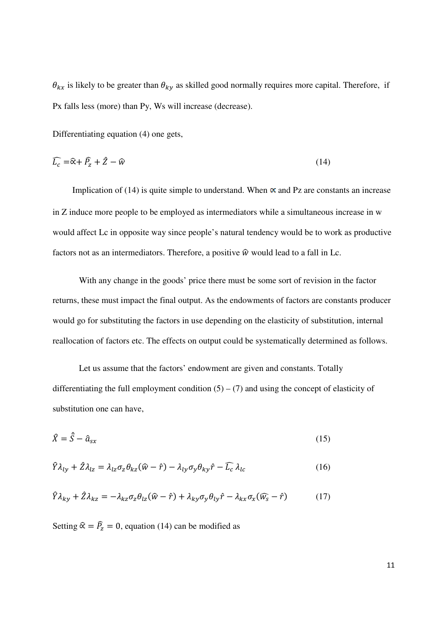$\theta_{kx}$  is likely to be greater than  $\theta_{ky}$  as skilled good normally requires more capital. Therefore, if Px falls less (more) than Py, Ws will increase (decrease).

Differentiating equation (4) one gets,

$$
\widehat{L_c} = \widehat{\alpha} + \widehat{P_z} + \widehat{Z} - \widehat{w}
$$
\n(14)

Implication of (14) is quite simple to understand. When  $\alpha$  and Pz are constants an increase in Z induce more people to be employed as intermediators while a simultaneous increase in w would affect Lc in opposite way since people's natural tendency would be to work as productive factors not as an intermediators. Therefore, a positive  $\hat{w}$  would lead to a fall in Lc.

 With any change in the goods' price there must be some sort of revision in the factor returns, these must impact the final output. As the endowments of factors are constants producer would go for substituting the factors in use depending on the elasticity of substitution, internal reallocation of factors etc. The effects on output could be systematically determined as follows.

 Let us assume that the factors' endowment are given and constants. Totally differentiating the full employment condition  $(5) - (7)$  and using the concept of elasticity of substitution one can have,

$$
\hat{X} = \hat{S} - \hat{a}_{sx} \tag{15}
$$

$$
\hat{Y}\lambda_{ly} + \hat{Z}\lambda_{lz} = \lambda_{lz}\sigma_z\theta_{kz}(\hat{w} - \hat{r}) - \lambda_{ly}\sigma_y\theta_{ky}\hat{r} - \hat{L}_c\lambda_{lc}
$$
\n(16)

$$
\hat{Y}\lambda_{ky} + \hat{Z}\lambda_{kz} = -\lambda_{kz}\sigma_z\theta_{lz}(\hat{w} - \hat{r}) + \lambda_{ky}\sigma_y\theta_{ly}\hat{r} - \lambda_{kx}\sigma_x(\hat{w}_s - \hat{r})
$$
(17)

Setting  $\hat{\alpha} = \hat{P}_z = 0$ , equation (14) can be modified as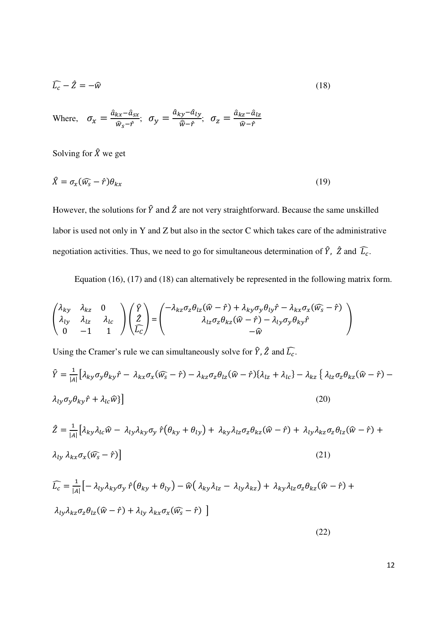$$
\widehat{L_c} - \widehat{Z} = -\widehat{w}
$$
 (18)

Where,  $\sigma_x = \frac{\hat{a}_{kx} - \hat{a}_{sx}}{\hat{w}_{s} - \hat{r}}$  $\frac{kx-\hat{a}_{SX}}{\hat{w}_s-\hat{r}}$ ;  $\sigma_y = \frac{\hat{a}_{ky}-\hat{a}_{ly}}{\hat{w}-\hat{r}}$  $\frac{dy - a_{ly}}{\hat{w} - \hat{r}}$ ,  $\sigma_z = \frac{\hat{a}_{kz} - \hat{a}_{lz}}{\hat{w} - \hat{r}}$  $W-\hat{r}$ 

Solving for  $\hat{X}$  we get

$$
\hat{X} = \sigma_x(\widehat{w_s} - \hat{r})\theta_{kx} \tag{19}
$$

However, the solutions for  $\hat{Y}$  and  $\hat{Z}$  are not very straightforward. Because the same unskilled labor is used not only in Y and Z but also in the sector C which takes care of the administrative negotiation activities. Thus, we need to go for simultaneous determination of  $\hat{Y}$ ,  $\hat{Z}$  and  $\hat{L_c}$ .

Equation (16), (17) and (18) can alternatively be represented in the following matrix form.

$$
\begin{pmatrix}\n\lambda_{ky} & \lambda_{kz} & 0 \\
\lambda_{ly} & \lambda_{lz} & \lambda_{lc} \\
0 & -1 & 1\n\end{pmatrix}\n\begin{pmatrix}\n\hat{Y} \\
\hat{Z} \\
\hat{L}_{C}\n\end{pmatrix} =\n\begin{pmatrix}\n-\lambda_{kz}\sigma_{z}\theta_{lz}(\hat{w}-\hat{r}) + \lambda_{ky}\sigma_{y}\theta_{ly}\hat{r} - \lambda_{kx}\sigma_{x}(\hat{w}_{s}-\hat{r}) \\
\lambda_{lz}\sigma_{z}\theta_{kz}(\hat{w}-\hat{r}) - \lambda_{ly}\sigma_{y}\theta_{ky}\hat{r} \\
-\hat{w}\n\end{pmatrix}
$$

Using the Cramer's rule we can simultaneously solve for  $\hat{Y}$ ,  $\hat{Z}$  and  $\hat{L}_c$ .

$$
\hat{Y} = \frac{1}{|A|} \left[ \lambda_{ky} \sigma_y \theta_{ky} \hat{r} - \lambda_{kx} \sigma_x (\widehat{w_s} - \hat{r}) - \lambda_{kz} \sigma_z \theta_{lz} (\hat{w} - \hat{r}) \{ \lambda_{lz} + \lambda_{lc} \} - \lambda_{kz} \left\{ \lambda_{lz} \sigma_z \theta_{kz} (\hat{w} - \hat{r}) - \lambda_{ly} \sigma_y \theta_{ky} \hat{r} + \lambda_{lc} \widehat{w} \} \right]
$$
\n
$$
(20)
$$

$$
\hat{Z} = \frac{1}{|A|} \left[ \lambda_{ky} \lambda_{lc} \hat{w} - \lambda_{ly} \lambda_{ky} \sigma_y \hat{r} \left( \theta_{ky} + \theta_{ly} \right) + \lambda_{ky} \lambda_{lz} \sigma_z \theta_{kz} (\hat{w} - \hat{r}) + \lambda_{ly} \lambda_{kz} \sigma_z \theta_{lz} (\hat{w} - \hat{r}) + \lambda_{ly} \lambda_{kx} \sigma_x (\hat{w}_s - \hat{r}) \right]
$$
\n(21)

$$
\begin{aligned}\n\widehat{L_c} &= \frac{1}{|A|} \big[ -\lambda_{ly} \lambda_{ky} \sigma_y \hat{r} \big( \theta_{ky} + \theta_{ly} \big) - \widehat{w} \big( \lambda_{ky} \lambda_{lz} - \lambda_{ly} \lambda_{kz} \big) + \lambda_{ky} \lambda_{lz} \sigma_z \theta_{kz} (\widehat{w} - \hat{r}) + \\
\lambda_{ly} \lambda_{kz} \sigma_z \theta_{lz} (\widehat{w} - \hat{r}) + \lambda_{ly} \lambda_{kx} \sigma_x (\widehat{w_s} - \hat{r}) \big]\n\end{aligned}
$$

(22)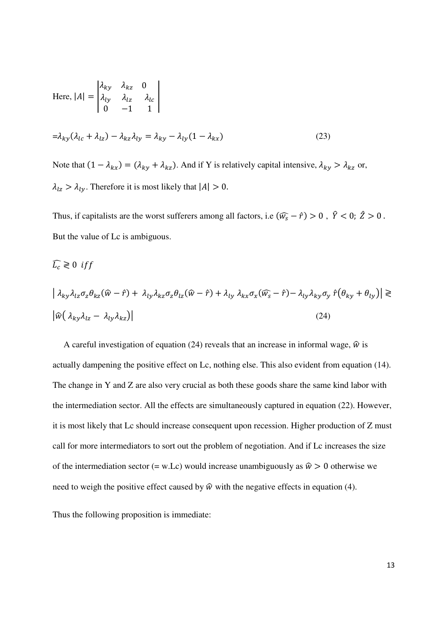Here, 
$$
|A| = \begin{vmatrix} \lambda_{ky} & \lambda_{kz} & 0 \\ \lambda_{ly} & \lambda_{lz} & \lambda_{lc} \\ 0 & -1 & 1 \end{vmatrix}
$$
  
=  $\lambda_{ky} (\lambda_{lc} + \lambda_{lz}) - \lambda_{kz} \lambda_{ly} = \lambda_{ky} - \lambda_{ly} (1 - \lambda_{kx})$  (23)  
Note that  $(1 - \lambda_{lw}) = (\lambda_{lw} + \lambda_{lv})$  And if Y is relatively capital intensive  $\lambda_{lw}$ 

Note that  $(1 - \lambda_{kx}) = (\lambda_{ky} + \lambda_{kz})$ . And if Y is relatively capital intensive,  $\lambda_{ky} > \lambda_{kz}$  or,  $\lambda_{1z} > \lambda_{1y}$ . Therefore it is most likely that  $|A| > 0$ .

Thus, if capitalists are the worst sufferers among all factors, i.e  $(\widehat{w_s} - \hat{r}) > 0$ ,  $\widehat{Y} < 0$ ;  $\widehat{Z} > 0$ . But the value of Lc is ambiguous.

$$
\widehat{L_c} \gtrless 0 \; \text{iff}
$$

$$
\begin{aligned} \left| \lambda_{ky} \lambda_{lz} \sigma_z \theta_{kz} (\hat{w} - \hat{r}) + \lambda_{ly} \lambda_{kz} \sigma_z \theta_{lz} (\hat{w} - \hat{r}) + \lambda_{ly} \lambda_{kx} \sigma_x (\widehat{w_s} - \hat{r}) - \lambda_{ly} \lambda_{ky} \sigma_y \hat{r} (\theta_{ky} + \theta_{ly}) \right| &\geq \\ \left| \widehat{w} (\lambda_{ky} \lambda_{lz} - \lambda_{ly} \lambda_{kz}) \right| \end{aligned} \tag{24}
$$

A careful investigation of equation (24) reveals that an increase in informal wage,  $\hat{w}$  is actually dampening the positive effect on Lc, nothing else. This also evident from equation (14). The change in Y and Z are also very crucial as both these goods share the same kind labor with the intermediation sector. All the effects are simultaneously captured in equation (22). However, it is most likely that Lc should increase consequent upon recession. Higher production of Z must call for more intermediators to sort out the problem of negotiation. And if Lc increases the size of the intermediation sector (= w.Lc) would increase unambiguously as  $\hat{w} > 0$  otherwise we need to weigh the positive effect caused by  $\hat{w}$  with the negative effects in equation (4).

Thus the following proposition is immediate: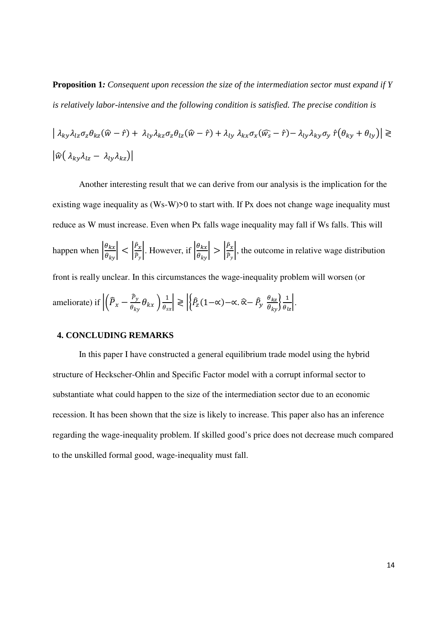**Proposition 1***: Consequent upon recession the size of the intermediation sector must expand if Y is relatively labor-intensive and the following condition is satisfied. The precise condition is* 

$$
\begin{aligned} \left| \lambda_{ky} \lambda_{lz} \sigma_z \theta_{kz} (\hat{w} - \hat{r}) + \lambda_{ly} \lambda_{kz} \sigma_z \theta_{lz} (\hat{w} - \hat{r}) + \lambda_{ly} \lambda_{kx} \sigma_x (\widehat{w_s} - \hat{r}) - \lambda_{ly} \lambda_{ky} \sigma_y \hat{r} (\theta_{ky} + \theta_{ly}) \right| &\geq \\ \left| \widehat{w} (\lambda_{ky} \lambda_{lz} - \lambda_{ly} \lambda_{kz}) \right| \end{aligned}
$$

Another interesting result that we can derive from our analysis is the implication for the existing wage inequality as (Ws-W) $>0$  to start with. If Px does not change wage inequality must reduce as W must increase. Even when Px falls wage inequality may fall if Ws falls. This will happen when  $\left|\frac{\theta_{kx}}{\theta_{ky}}\right| < \left|\frac{\hat{P}_x}{\hat{P}_y}\right|$  $\frac{\hat{P}_x}{\hat{P}_y}$ . However, if  $\left| \frac{\theta_{kx}}{\theta_{ky}} \right| > \left| \frac{\hat{P}_x}{\hat{P}_y} \right|$  $\frac{f(x)}{f_y}$ , the outcome in relative wage distribution front is really unclear. In this circumstances the wage-inequality problem will worsen (or ameliorate) if  $\left| \left( \widehat{P}_x - \frac{\widehat{P}_y}{\theta_{1x}} \right) \right|$  $\frac{P_y}{\theta_{ky}} \theta_{kx}$   $\frac{1}{\theta_{sx}} \ge \left| \left\{ \hat{P}_z(1-\alpha) - \alpha, \hat{\alpha} - \hat{P}_y \right\} \right|$  $\theta_{kz}$  $\frac{\theta_{kz}}{\theta_{ky}}\frac{1}{\theta_{lz}}$ .

# **4. CONCLUDING REMARKS**

In this paper I have constructed a general equilibrium trade model using the hybrid structure of Heckscher-Ohlin and Specific Factor model with a corrupt informal sector to substantiate what could happen to the size of the intermediation sector due to an economic recession. It has been shown that the size is likely to increase. This paper also has an inference regarding the wage-inequality problem. If skilled good's price does not decrease much compared to the unskilled formal good, wage-inequality must fall.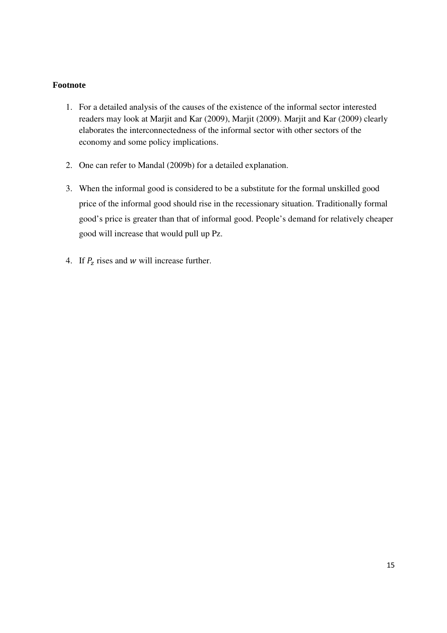# **Footnote**

- 1. For a detailed analysis of the causes of the existence of the informal sector interested readers may look at Marjit and Kar (2009), Marjit (2009). Marjit and Kar (2009) clearly elaborates the interconnectedness of the informal sector with other sectors of the economy and some policy implications.
- 2. One can refer to Mandal (2009b) for a detailed explanation.
- 3. When the informal good is considered to be a substitute for the formal unskilled good price of the informal good should rise in the recessionary situation. Traditionally formal good's price is greater than that of informal good. People's demand for relatively cheaper good will increase that would pull up Pz.
- 4. If  $P_z$  rises and w will increase further.